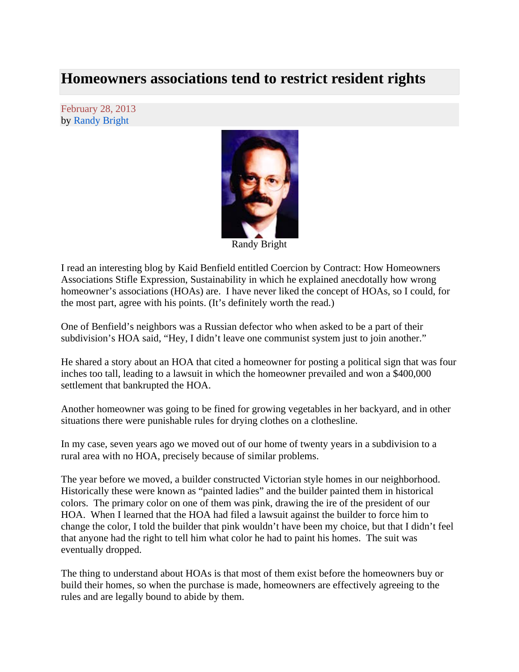## **Homeowners associations tend to restrict resident rights**

February 28, 2013 by Randy Bright



Randy Bright

I read an interesting blog by Kaid Benfield entitled Coercion by Contract: How Homeowners Associations Stifle Expression, Sustainability in which he explained anecdotally how wrong homeowner's associations (HOAs) are. I have never liked the concept of HOAs, so I could, for the most part, agree with his points. (It's definitely worth the read.)

One of Benfield's neighbors was a Russian defector who when asked to be a part of their subdivision's HOA said, "Hey, I didn't leave one communist system just to join another."

He shared a story about an HOA that cited a homeowner for posting a political sign that was four inches too tall, leading to a lawsuit in which the homeowner prevailed and won a \$400,000 settlement that bankrupted the HOA.

Another homeowner was going to be fined for growing vegetables in her backyard, and in other situations there were punishable rules for drying clothes on a clothesline.

In my case, seven years ago we moved out of our home of twenty years in a subdivision to a rural area with no HOA, precisely because of similar problems.

The year before we moved, a builder constructed Victorian style homes in our neighborhood. Historically these were known as "painted ladies" and the builder painted them in historical colors. The primary color on one of them was pink, drawing the ire of the president of our HOA. When I learned that the HOA had filed a lawsuit against the builder to force him to change the color, I told the builder that pink wouldn't have been my choice, but that I didn't feel that anyone had the right to tell him what color he had to paint his homes. The suit was eventually dropped.

The thing to understand about HOAs is that most of them exist before the homeowners buy or build their homes, so when the purchase is made, homeowners are effectively agreeing to the rules and are legally bound to abide by them.